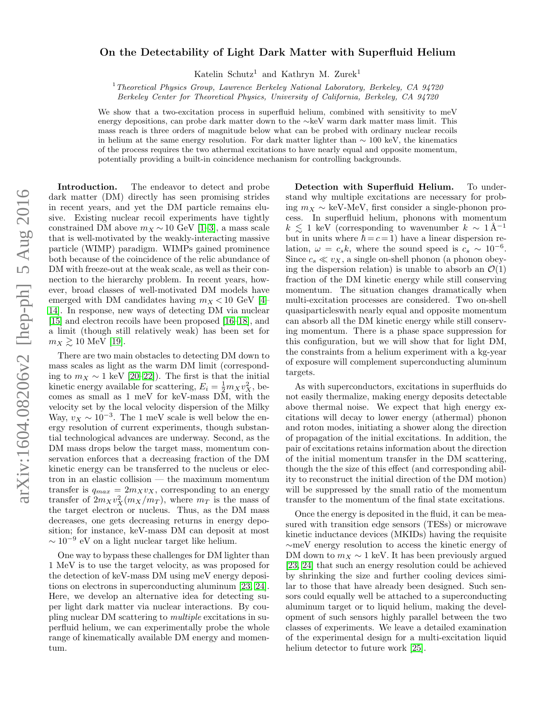## arXiv:1604.08206v2 [hep-ph] 5 Aug 2016 arXiv:1604.08206v2 [hep-ph] 5 Aug 2016

## On the Detectability of Light Dark Matter with Superfluid Helium

Katelin Schutz<sup>1</sup> and Kathryn M. Zurek<sup>1</sup>

<sup>1</sup>Theoretical Physics Group, Lawrence Berkeley National Laboratory, Berkeley, CA 94720 Berkeley Center for Theoretical Physics, University of California, Berkeley, CA 94720

We show that a two-excitation process in superfluid helium, combined with sensitivity to meV energy depositions, can probe dark matter down to the ∼keV warm dark matter mass limit. This mass reach is three orders of magnitude below what can be probed with ordinary nuclear recoils in helium at the same energy resolution. For dark matter lighter than  $\sim 100$  keV, the kinematics of the process requires the two athermal excitations to have nearly equal and opposite momentum, potentially providing a built-in coincidence mechanism for controlling backgrounds.

Introduction. The endeavor to detect and probe dark matter (DM) directly has seen promising strides in recent years, and yet the DM particle remains elusive. Existing nuclear recoil experiments have tightly constrained DM above  $m_X \sim 10$  GeV [\[1–](#page-4-0)[3\]](#page-4-1), a mass scale that is well-motivated by the weakly-interacting massive particle (WIMP) paradigm. WIMPs gained prominence both because of the coincidence of the relic abundance of DM with freeze-out at the weak scale, as well as their connection to the hierarchy problem. In recent years, however, broad classes of well-motivated DM models have emerged with DM candidates having  $m_X < 10$  GeV [\[4–](#page-4-2) [14\]](#page-4-3). In response, new ways of detecting DM via nuclear [\[15\]](#page-4-4) and electron recoils have been proposed [\[16–](#page-4-5)[18\]](#page-4-6), and a limit (though still relatively weak) has been set for  $m_X \gtrsim 10$  MeV [\[19\]](#page-4-7).

There are two main obstacles to detecting DM down to mass scales as light as the warm DM limit (corresponding to  $m_X \sim 1$  keV [\[20](#page-4-8)[–22\]](#page-4-9)). The first is that the initial kinetic energy available for scattering,  $E_i = \frac{1}{2} m_X v_X^2$ , becomes as small as 1 meV for keV-mass DM, with the velocity set by the local velocity dispersion of the Milky Way,  $v_X \sim 10^{-3}$ . The 1 meV scale is well below the energy resolution of current experiments, though substantial technological advances are underway. Second, as the DM mass drops below the target mass, momentum conservation enforces that a decreasing fraction of the DM kinetic energy can be transferred to the nucleus or electron in an elastic collision — the maximum momentum transfer is  $q_{max} = 2m_Xv_X$ , corresponding to an energy transfer of  $2m_X v_X^2 (m_X/m_T)$ , where  $m_T$  is the mass of the target electron or nucleus. Thus, as the DM mass decreases, one gets decreasing returns in energy deposition; for instance, keV-mass DM can deposit at most  $\sim 10^{-9}$  eV on a light nuclear target like helium.

One way to bypass these challenges for DM lighter than 1 MeV is to use the target velocity, as was proposed for the detection of keV-mass DM using meV energy depositions on electrons in superconducting aluminum [\[23,](#page-4-10) [24\]](#page-4-11). Here, we develop an alternative idea for detecting super light dark matter via nuclear interactions. By coupling nuclear DM scattering to multiple excitations in superfluid helium, we can experimentally probe the whole range of kinematically available DM energy and momentum.

Detection with Superfluid Helium. To understand why multiple excitations are necessary for probing  $m_X \sim$  keV-MeV, first consider a single-phonon process. In superfluid helium, phonons with momentum  $k \leq 1$  keV (corresponding to wavenumber  $k \sim 1 \text{ Å}^{-1}$ but in units where  $\hbar = c = 1$ ) have a linear dispersion relation,  $\omega = c_s k$ , where the sound speed is  $c_s \sim 10^{-6}$ . Since  $c_s \ll v_X$ , a single on-shell phonon (a phonon obeying the dispersion relation) is unable to absorb an  $\mathcal{O}(1)$ fraction of the DM kinetic energy while still conserving momentum. The situation changes dramatically when multi-excitation processes are considered. Two on-shell quasiparticleswith nearly equal and opposite momentum can absorb all the DM kinetic energy while still conserving momentum. There is a phase space suppression for this configuration, but we will show that for light DM, the constraints from a helium experiment with a kg-year of exposure will complement superconducting aluminum targets.

As with superconductors, excitations in superfluids do not easily thermalize, making energy deposits detectable above thermal noise. We expect that high energy excitations will decay to lower energy (athermal) phonon and roton modes, initiating a shower along the direction of propagation of the initial excitations. In addition, the pair of excitations retains information about the direction of the initial momentum transfer in the DM scattering, though the the size of this effect (and corresponding ability to reconstruct the initial direction of the DM motion) will be suppressed by the small ratio of the momentum transfer to the momentum of the final state excitations.

Once the energy is deposited in the fluid, it can be measured with transition edge sensors (TESs) or microwave kinetic inductance devices (MKIDs) having the requisite ∼meV energy resolution to access the kinetic energy of DM down to  $m_X \sim 1$  keV. It has been previously argued [\[23,](#page-4-10) [24\]](#page-4-11) that such an energy resolution could be achieved by shrinking the size and further cooling devices similar to those that have already been designed. Such sensors could equally well be attached to a superconducting aluminum target or to liquid helium, making the development of such sensors highly parallel between the two classes of experiments. We leave a detailed examination of the experimental design for a multi-excitation liquid helium detector to future work [\[25\]](#page-4-12).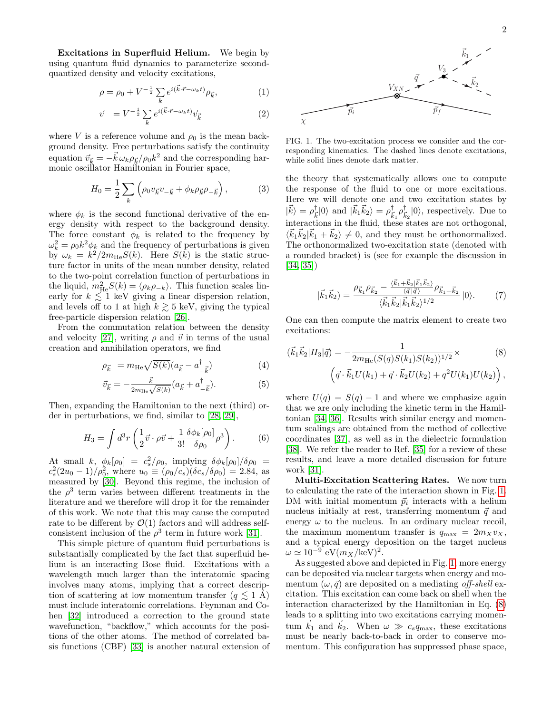Excitations in Superfluid Helium. We begin by using quantum fluid dynamics to parameterize secondquantized density and velocity excitations,

$$
\rho = \rho_0 + V^{-\frac{1}{2}} \sum_{k} e^{i(\vec{k} \cdot \vec{r} - \omega_k t)} \rho_{\vec{k}}, \tag{1}
$$

$$
\vec{v} = V^{-\frac{1}{2}} \sum_{k} e^{i(\vec{k}\cdot\vec{r}-\omega_{k}t)} \vec{v}_{\vec{k}}
$$
 (2)

where V is a reference volume and  $\rho_0$  is the mean background density. Free perturbations satisfy the continuity equation  $\vec{v}_{\vec{k}} = -\vec{k}\,\omega_k\rho_{\vec{k}}/\rho_0 k^2$  and the corresponding harmonic oscillator Hamiltonian in Fourier space,

$$
H_0 = \frac{1}{2} \sum_{k} \left( \rho_0 v_{\vec{k}} v_{-\vec{k}} + \phi_k \rho_{\vec{k}} \rho_{-\vec{k}} \right), \tag{3}
$$

where  $\phi_k$  is the second functional derivative of the energy density with respect to the background density. The force constant  $\phi_k$  is related to the frequency by  $\omega_k^2 = \rho_0 k^2 \phi_k$  and the frequency of perturbations is given by  $\omega_k = k^2/2m_{\text{He}}S(k)$ . Here  $S(k)$  is the static structure factor in units of the mean number density, related to the two-point correlation function of perturbations in the liquid,  $m_{\text{He}}^2 S(k) = \langle \rho_k \rho_{-k} \rangle$ . This function scales linearly for  $k \leq 1$  keV giving a linear dispersion relation, and levels off to 1 at high  $k \gtrsim 5$  keV, giving the typical free-particle dispersion relation [\[26\]](#page-4-13).

From the commutation relation between the density and velocity [\[27\]](#page-4-14), writing  $\rho$  and  $\vec{v}$  in terms of the usual creation and annihilation operators, we find

$$
\rho_{\vec{k}} = m_{\text{He}} \sqrt{S(k)} (a_{\vec{k}} - a_{-\vec{k}}^{\dagger}) \tag{4}
$$

$$
\vec{v}_{\vec{k}} = -\frac{\vec{k}}{2m_{\text{He}}\sqrt{S(k)}}(a_{\vec{k}} + a^{\dagger}_{-\vec{k}}). \tag{5}
$$

Then, expanding the Hamiltonian to the next (third) order in perturbations, we find, similar to [\[28,](#page-4-15) [29\]](#page-4-16),

$$
H_3 = \int d^3r \left(\frac{1}{2}\vec{v}\cdot\rho\vec{v} + \frac{1}{3!}\frac{\delta\phi_k[\rho_0]}{\delta\rho_0}\rho^3\right). \tag{6}
$$

At small k,  $\phi_k[\rho_0] = c_s^2/\rho_0$ , implying  $\delta \phi_k[\rho_0] / \delta \rho_0 =$  $c_s^2(2u_0 - 1)/\rho_0^2$ , where  $u_0 \equiv (\rho_0/c_s)(\delta c_s/\delta \rho_0) = 2.84$ , as measured by [\[30\]](#page-4-17). Beyond this regime, the inclusion of the  $\rho^3$  term varies between different treatments in the literature and we therefore will drop it for the remainder of this work. We note that this may cause the computed rate to be different by  $\mathcal{O}(1)$  factors and will address selfconsistent inclusion of the  $\rho^3$  term in future work [\[31\]](#page-4-18).

This simple picture of quantum fluid perturbations is substantially complicated by the fact that superfluid helium is an interacting Bose fluid. Excitations with a wavelength much larger than the interatomic spacing involves many atoms, implying that a correct description of scattering at low momentum transfer  $(q \leq 1 \text{ Å})$ must include interatomic correlations. Feynman and Cohen [\[32\]](#page-4-19) introduced a correction to the ground state wavefunction, "backflow," which accounts for the positions of the other atoms. The method of correlated basis functions (CBF) [\[33\]](#page-4-20) is another natural extension of



<span id="page-1-0"></span>FIG. 1. The two-excitation process we consider and the corresponding kinematics. The dashed lines denote excitations, while solid lines denote dark matter.

the theory that systematically allows one to compute the response of the fluid to one or more excitations. Here we will denote one and two excitation states by  $|\vec{k}\rangle = \rho_{\bar{i}}^{\dagger}$  $|\vec{k}_{\vec{k}}|0\rangle$  and  $|\vec{k}_{1}\vec{k}_{2}\rangle = \rho_{\vec{k}}^{\dagger}$  $\frac{1}{\vec{k}_1} \rho_{\vec{k}}^{\dagger}$  $\frac{1}{k_2} |0\rangle$ , respectively. Due to interactions in the fluid, these states are not orthogonal,  $\langle \vec{k}_1 \vec{k}_2 | \vec{k}_1 + \vec{k}_2 \rangle \neq 0$ , and they must be orthonormalized. The orthonormalized two-excitation state (denoted with a rounded bracket) is (see for example the discussion in [\[34,](#page-4-21) [35\]](#page-4-22))

<span id="page-1-1"></span>
$$
|\vec{k}_1 \vec{k}_2\rangle = \frac{\rho_{\vec{k}_1} \rho_{\vec{k}_2} - \frac{\langle \vec{k}_1 + \vec{k}_2 | \vec{k}_1 \vec{k}_2 \rangle}{\langle \vec{q} | \vec{q} \rangle} \rho_{\vec{k}_1 + \vec{k}_2} \over \langle \vec{k}_1 \vec{k}_2 | \vec{k}_1 \vec{k}_2 \rangle^{1/2}} |0\rangle.
$$
 (7)

One can then compute the matrix element to create two excitations:

$$
(\vec{k}_1 \vec{k}_2 | H_3 | \vec{q}) = -\frac{1}{2m_{\text{He}}(S(q)S(k_1)S(k_2))^{1/2}} \times \qquad (8)
$$

$$
(\vec{q} \cdot \vec{k}_1 U(k_1) + \vec{q} \cdot \vec{k}_2 U(k_2) + q^2 U(k_1) U(k_2)),
$$

where  $U(q) = S(q) - 1$  and where we emphasize again that we are only including the kinetic term in the Hamiltonian [\[34,](#page-4-21) [36\]](#page-4-23). Results with similar energy and momentum scalings are obtained from the method of collective coordinates [\[37\]](#page-4-24), as well as in the dielectric formulation [\[38\]](#page-4-25). We refer the reader to Ref. [\[35\]](#page-4-22) for a review of these results, and leave a more detailed discussion for future work [\[31\]](#page-4-18).

Multi-Excitation Scattering Rates. We now turn to calculating the rate of the interaction shown in Fig. [1.](#page-1-0) DM with initial momentum  $\vec{p}_i$  interacts with a helium nucleus initially at rest, transferring momentum  $\vec{q}$  and energy  $\omega$  to the nucleus. In an ordinary nuclear recoil, the maximum momentum transfer is  $q_{\text{max}} = 2m_Xv_X$ , and a typical energy deposition on the target nucleus  $\omega \simeq 10^{-9} \text{ eV} (m_X/\text{keV})^2.$ 

As suggested above and depicted in Fig. [1,](#page-1-0) more energy can be deposited via nuclear targets when energy and momentum  $(\omega, \vec{q})$  are deposited on a mediating off-shell excitation. This excitation can come back on shell when the interaction characterized by the Hamiltonian in Eq. [\(8\)](#page-1-1) leads to a splitting into two excitations carrying momentum  $\vec{k}_1$  and  $\vec{k}_2$ . When  $\omega \gg c_s q_{\text{max}}$ , these excitations must be nearly back-to-back in order to conserve momentum. This configuration has suppressed phase space,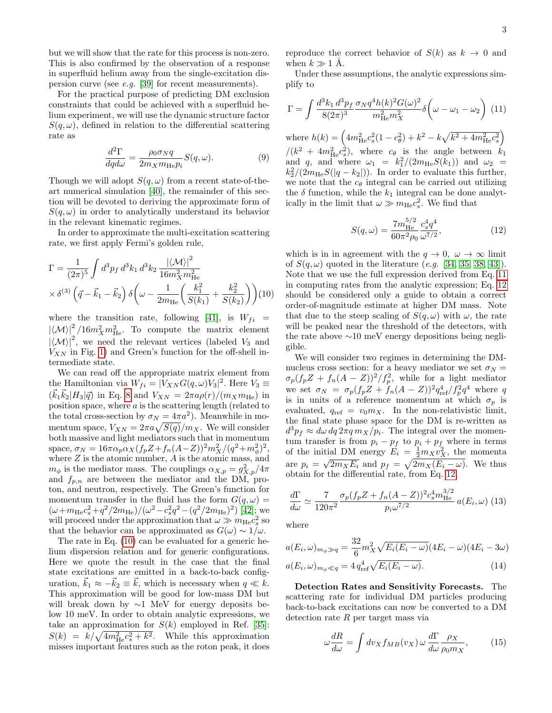but we will show that the rate for this process is non-zero. This is also confirmed by the observation of a response in superfluid helium away from the single-excitation dispersion curve (see e.g. [\[39\]](#page-4-26) for recent measurements).

For the practical purpose of predicting DM exclusion constraints that could be achieved with a superfluid helium experiment, we will use the dynamic structure factor  $S(q,\omega)$ , defined in relation to the differential scattering rate as

$$
\frac{d^2\Gamma}{dq d\omega} = \frac{\rho_0 \sigma_N q}{2m_X m_{\text{He}} p_i} S(q, \omega).
$$
 (9)

Though we will adopt  $S(q,\omega)$  from a recent state-of-theart numerical simulation [\[40\]](#page-4-27), the remainder of this section will be devoted to deriving the approximate form of  $S(q,\omega)$  in order to analytically understand its behavior in the relevant kinematic regimes.

In order to approximate the multi-excitation scattering rate, we first apply Fermi's golden rule,

<span id="page-2-0"></span>
$$
\Gamma = \frac{1}{(2\pi)^5} \int d^3p_f \, d^3k_1 \, d^3k_2 \, \frac{|\langle \mathcal{M} \rangle|^2}{16m_X^2 m_{\text{He}}^2} \times \delta^{(3)} \left(\vec{q} - \vec{k}_1 - \vec{k}_2\right) \delta\left(\omega - \frac{1}{2m_{\text{He}}} \left(\frac{k_1^2}{S(k_1)} + \frac{k_2^2}{S(k_2)}\right)\right) (10)
$$

where the transition rate, following [\[41\]](#page-4-28), is  $W_{fi}$  =  $|\langle \mathcal{M} \rangle|^2 / 16m_X^2 m_{\text{He}}^2$ . To compute the matrix element  $|\langle M \rangle|^2$ , we need the relevant vertices (labeled  $V_3$  and  $V_{XN}$  in Fig. [1\)](#page-1-0) and Green's function for the off-shell intermediate state.

We can read off the appropriate matrix element from the Hamiltonian via  $W_{fi} = |V_{XN}G(q,\omega)V_3|^2$ . Here  $V_3 \equiv$  $(\vec{k}_1 \vec{k}_2 | H_3 | \vec{q})$  in Eq. [8](#page-1-1) and  $V_{XN} = 2\pi a \rho(r)/(m_X m_{\text{He}})$  in position space, where a is the scattering length (related to the total cross-section by  $\sigma_N = 4\pi a^2$ . Meanwhile in momentum space,  $V_{XN} = 2\pi a \sqrt{S(q)}/m_X$ . We will consider both massive and light mediators such that in momentum space,  $\sigma_N = 16\pi\alpha_p\alpha_X(f_pZ + f_n(A-Z))^2m_X^2/(q^2 + m_\phi^2)^2$ , where  $Z$  is the atomic number,  $A$  is the atomic mass, and  $m_{\phi}$  is the mediator mass. The couplings  $\alpha_{X,p} = g_{X,p}^2/4\pi$ and  $f_{p,n}$  are between the mediator and the DM, proton, and neutron, respectively. The Green's function for momentum transfer in the fluid has the form  $G(q, \omega)$  =  $(\omega + m_{\text{He}}c_s^2 + q^2/2m_{\text{He}})/(\omega^2 - c_s^2q^2 - (q^2/2m_{\text{He}})^2)$  [\[42\]](#page-4-29); we will proceed under the approximation that  $\omega \gg m_{\text{He}}c_s^2$  so that the behavior can be approximated as  $G(\omega) \sim 1/\omega$ .

The rate in Eq. [\(10\)](#page-2-0) can be evaluated for a generic helium dispersion relation and for generic configurations. Here we quote the result in the case that the final state excitations are emitted in a back-to-back configuration,  $\vec{k}_1 \approx -\vec{k}_2 \equiv \vec{k}$ , which is necessary when  $q \ll k$ . This approximation will be good for low-mass DM but will break down by ∼1 MeV for energy deposits below 10 meV. In order to obtain analytic expressions, we take an approximation for  $S(k)$  employed in Ref. [\[35\]](#page-4-22):  $S(k) = k/\sqrt{4m_{\text{He}}^2c_s^2 + k^2}$ . While this approximation misses important features such as the roton peak, it does

reproduce the correct behavior of  $S(k)$  as  $k \to 0$  and when  $k \gg 1$  Å.

Under these assumptions, the analytic expressions simplify to

<span id="page-2-1"></span>
$$
\Gamma = \int \frac{d^3 k_1 \, d^3 p_f}{8(2\pi)^3} \frac{\sigma_N q^4 h(k)^2 G(\omega)^2}{m_{\text{He}}^2 m_X^2} \delta\left(\omega - \omega_1 - \omega_2\right) \tag{11}
$$

where  $h(k) = \left(4m_{\text{He}}^2c_s^2(1-c_\theta^2) + k^2 - k\sqrt{k^2 + 4m_{\text{He}}^2c_s^2}\right)$  $/(k^2 + 4m_{\text{He}}^2 c_s^2)$ , where  $c_{\theta}$  is the angle between  $k_1$ and q, and where  $\omega_1 = k_1^2/(2m_{\text{He}}S(k_1))$  and  $\omega_2$  =  $k_2^2/(2m_{\text{He}}S(|q-k_2|)).$  In order to evaluate this further, we note that the  $c_{\theta}$  integral can be carried out utilizing the  $\delta$  function, while the  $k_1$  integral can be done analytically in the limit that  $\omega \gg m_{\text{He}}c_s^2$ . We find that

<span id="page-2-2"></span>
$$
S(q,\omega) = \frac{7m_{\rm He}^{5/2}}{60\pi^2 \rho_0} \frac{c_s^4 q^4}{\omega^{7/2}},
$$
\n(12)

which is in in agreement with the  $q \to 0$ ,  $\omega \to \infty$  limit of  $S(q,\omega)$  quoted in the literature (e.g. [\[34,](#page-4-21) [35,](#page-4-22) [38,](#page-4-25) [43\]](#page-4-30)). Note that we use the full expression derived from Eq. [11](#page-2-1) in computing rates from the analytic expression; Eq. [12](#page-2-2) should be considered only a guide to obtain a correct order-of-magnitude estimate at higher DM mass. Note that due to the steep scaling of  $S(q,\omega)$  with  $\omega$ , the rate will be peaked near the threshold of the detectors, with the rate above ∼10 meV energy depositions being negligible.

We will consider two regimes in determining the DMnucleus cross section: for a heavy mediator we set  $\sigma_N =$  $\sigma_p(f_p Z + f_n (A - Z))^2 / f_p^2$ , while for a light mediator we set  $\sigma_N = \sigma_p (f_p Z + f_n (A - Z))^2 q_{\text{ref}}^4 / f_p^2 q^4$  where q is in units of a reference momentum at which  $\sigma_p$  is evaluated,  $q_{ref} = v_0 m_X$ . In the non-relativistic limit, the final state phase space for the DM is re-written as  $d^3 p_f \approx d\omega \, dq \, 2\pi q \, m_X/p_i$ . The integral over the momentum transfer is from  $p_i - p_f$  to  $p_i + p_f$  where in terms of the initial DM energy  $\vec{E}_i = \frac{1}{2} m_X v_X^2$ , the momenta are  $p_i = \sqrt{2m_X E_i}$  and  $p_f = \sqrt{2m_X(E_i - \omega)}$ . We thus obtain for the differential rate, from Eq. [12,](#page-2-2)

$$
\frac{d\Gamma}{d\omega} \simeq \frac{7}{120\pi^2} \frac{\sigma_p (f_p Z + f_n (A - Z))^2 c_s^4 m_{\text{He}}^{3/2}}{p_i \omega^{7/2}} a(E_i, \omega) \tag{13}
$$

where

$$
a(E_i, \omega)_{m_{\phi} \gg q} = \frac{32}{6} m_X^2 \sqrt{E_i (E_i - \omega)} (4E_i - \omega) (4E_i - 3\omega)
$$
  
 
$$
a(E_i, \omega) = 4 a^4 \sqrt{E_i (E_i - \omega)} \tag{14}
$$

$$
a(E_i, \omega)_{m_\phi \ll q} = 4 q_{\text{ref}}^4 \sqrt{E_i(E_i - \omega)}.
$$
\n(14)

Detection Rates and Sensitivity Forecasts. The scattering rate for individual DM particles producing back-to-back excitations can now be converted to a DM detection rate  $R$  per target mass via

$$
\omega \frac{dR}{d\omega} = \int dv_X f_{MB}(v_X) \, \omega \, \frac{d\Gamma}{d\omega} \frac{\rho_X}{\rho_0 m_X},\tag{15}
$$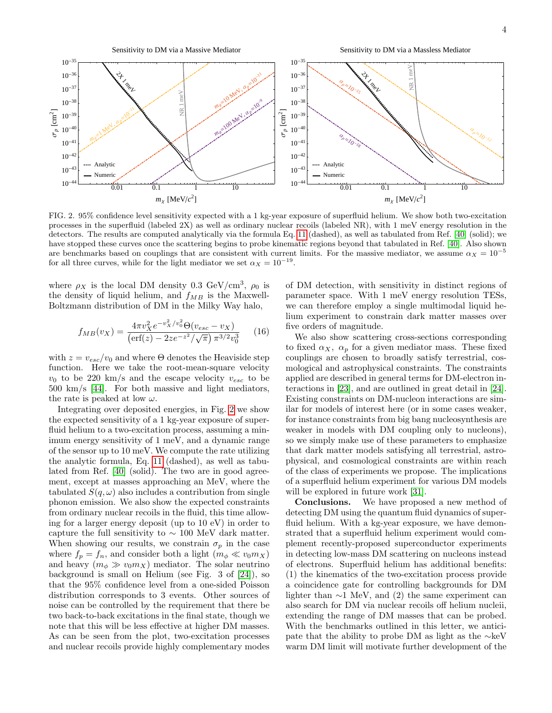Sensitivity to DM via a Massive Mediator

Sensitivity to DM via a Massless Mediator



<span id="page-3-0"></span>FIG. 2. 95% confidence level sensitivity expected with a 1 kg-year exposure of superfluid helium. We show both two-excitation processes in the superfluid (labeled 2X) as well as ordinary nuclear recoils (labeled NR), with 1 meV energy resolution in the detectors. The results are computed analytically via the formula Eq. [11](#page-2-1) (dashed), as well as tabulated from Ref. [\[40\]](#page-4-27) (solid); we have stopped these curves once the scattering begins to probe kinematic regions beyond that tabulated in Ref. [\[40\]](#page-4-27). Also shown are benchmarks based on couplings that are consistent with current limits. For the massive mediator, we assume  $\alpha_X = 10^{-5}$ for all three curves, while for the light mediator we set  $\alpha_X = 10^{-19}$ .

where  $\rho_X$  is the local DM density 0.3 GeV/cm<sup>3</sup>,  $\rho_0$  is the density of liquid helium, and  $f_{MB}$  is the Maxwell-Boltzmann distribution of DM in the Milky Way halo,

$$
f_{MB}(v_X) = \frac{4\pi v_X^2 e^{-v_X^2/v_0^2} \Theta(v_{esc} - v_X)}{\left(\text{erf}(z) - 2ze^{-z^2}/\sqrt{\pi}\right) \pi^{3/2} v_0^3} \tag{16}
$$

with  $z = v_{esc}/v_0$  and where  $\Theta$  denotes the Heaviside step function. Here we take the root-mean-square velocity  $v_0$  to be 220 km/s and the escape velocity  $v_{esc}$  to be 500 km/s [\[44\]](#page-4-31). For both massive and light mediators, the rate is peaked at low  $\omega$ .

Integrating over deposited energies, in Fig. [2](#page-3-0) we show the expected sensitivity of a 1 kg-year exposure of superfluid helium to a two-excitation process, assuming a minimum energy sensitivity of 1 meV, and a dynamic range of the sensor up to 10 meV. We compute the rate utilizing the analytic formula, Eq. [11](#page-2-1) (dashed), as well as tabulated from Ref. [\[40\]](#page-4-27) (solid). The two are in good agreement, except at masses approaching an MeV, where the tabulated  $S(q,\omega)$  also includes a contribution from single phonon emission. We also show the expected constraints from ordinary nuclear recoils in the fluid, this time allowing for a larger energy deposit (up to 10 eV) in order to capture the full sensitivity to  $\sim 100$  MeV dark matter. When showing our results, we constrain  $\sigma_p$  in the case where  $f_p = f_n$ , and consider both a light  $(m_\phi \ll v_0 m_X)$ and heavy  $(m_{\phi} \gg v_0 m_X)$  mediator. The solar neutrino background is small on Helium (see Fig. 3 of [\[24\]](#page-4-11)), so that the 95% confidence level from a one-sided Poisson distribution corresponds to 3 events. Other sources of noise can be controlled by the requirement that there be two back-to-back excitations in the final state, though we note that this will be less effective at higher DM masses. As can be seen from the plot, two-excitation processes and nuclear recoils provide highly complementary modes

of DM detection, with sensitivity in distinct regions of parameter space. With 1 meV energy resolution TESs, we can therefore employ a single multimodal liquid helium experiment to constrain dark matter masses over five orders of magnitude.

We also show scattering cross-sections corresponding to fixed  $\alpha_X$ ,  $\alpha_p$  for a given mediator mass. These fixed couplings are chosen to broadly satisfy terrestrial, cosmological and astrophysical constraints. The constraints applied are described in general terms for DM-electron interactions in [\[23\]](#page-4-10), and are outlined in great detail in [\[24\]](#page-4-11). Existing constraints on DM-nucleon interactions are similar for models of interest here (or in some cases weaker, for instance constraints from big bang nucleosynthesis are weaker in models with DM coupling only to nucleons), so we simply make use of these parameters to emphasize that dark matter models satisfying all terrestrial, astrophysical, and cosmological constraints are within reach of the class of experiments we propose. The implications of a superfluid helium experiment for various DM models will be explored in future work [\[31\]](#page-4-18).

Conclusions. We have proposed a new method of detecting DM using the quantum fluid dynamics of superfluid helium. With a kg-year exposure, we have demonstrated that a superfluid helium experiment would complement recently-proposed superconductor experiments in detecting low-mass DM scattering on nucleons instead of electrons. Superfluid helium has additional benefits: (1) the kinematics of the two-excitation process provide a coincidence gate for controlling backgrounds for DM lighter than  $\sim$ 1 MeV, and (2) the same experiment can also search for DM via nuclear recoils off helium nucleii, extending the range of DM masses that can be probed. With the benchmarks outlined in this letter, we anticipate that the ability to probe DM as light as the ∼keV warm DM limit will motivate further development of the